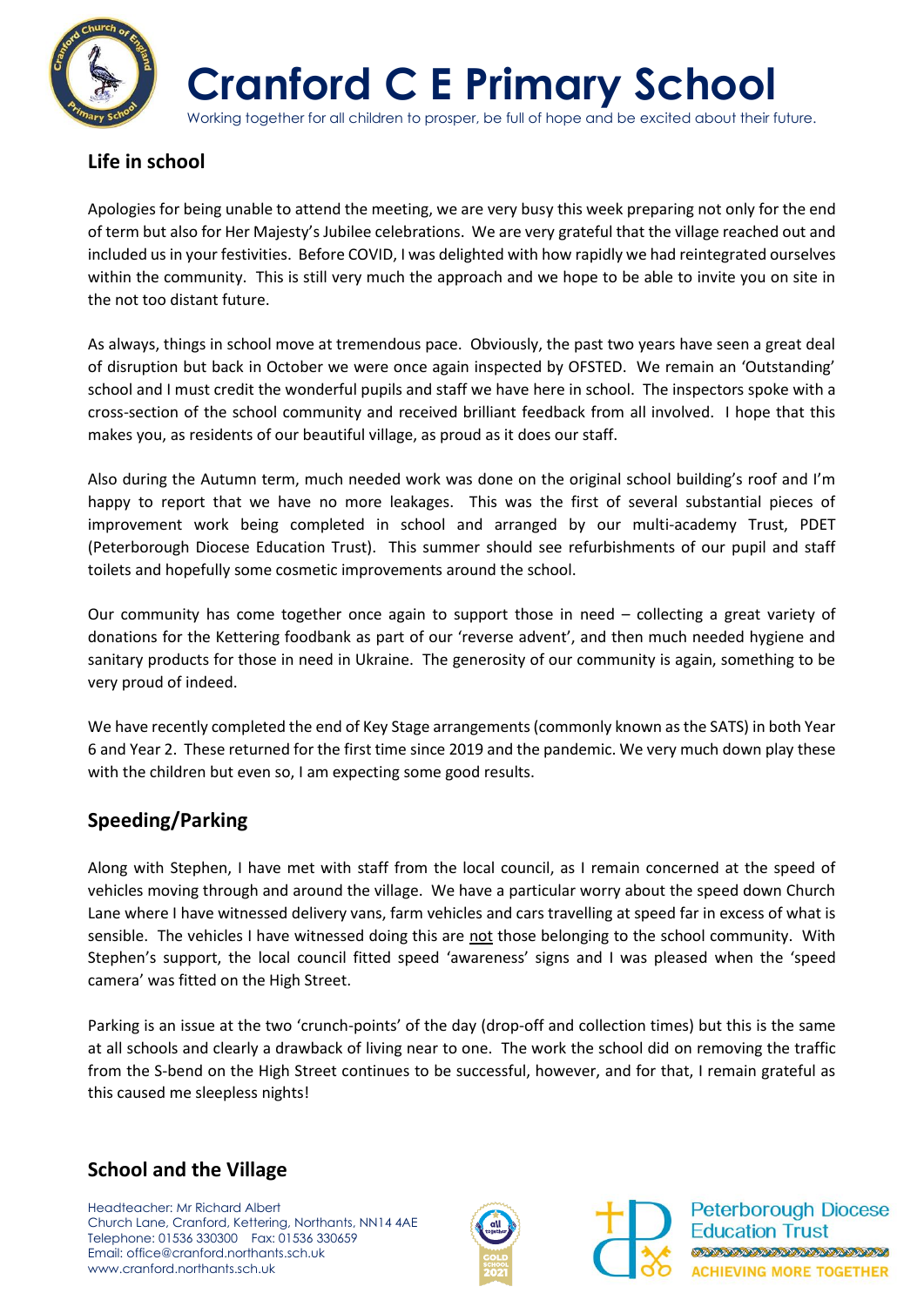

**Cranford C E Primary School**

Working together for all children to prosper, be full of hope and be excited about their future.

## **Life in school**

Apologies for being unable to attend the meeting, we are very busy this week preparing not only for the end of term but also for Her Majesty's Jubilee celebrations. We are very grateful that the village reached out and included us in your festivities. Before COVID, I was delighted with how rapidly we had reintegrated ourselves within the community. This is still very much the approach and we hope to be able to invite you on site in the not too distant future.

As always, things in school move at tremendous pace. Obviously, the past two years have seen a great deal of disruption but back in October we were once again inspected by OFSTED. We remain an 'Outstanding' school and I must credit the wonderful pupils and staff we have here in school. The inspectors spoke with a cross-section of the school community and received brilliant feedback from all involved. I hope that this makes you, as residents of our beautiful village, as proud as it does our staff.

Also during the Autumn term, much needed work was done on the original school building's roof and I'm happy to report that we have no more leakages. This was the first of several substantial pieces of improvement work being completed in school and arranged by our multi-academy Trust, PDET (Peterborough Diocese Education Trust). This summer should see refurbishments of our pupil and staff toilets and hopefully some cosmetic improvements around the school.

Our community has come together once again to support those in need – collecting a great variety of donations for the Kettering foodbank as part of our 'reverse advent', and then much needed hygiene and sanitary products for those in need in Ukraine. The generosity of our community is again, something to be very proud of indeed.

We have recently completed the end of Key Stage arrangements (commonly known as the SATS) in both Year 6 and Year 2. These returned for the first time since 2019 and the pandemic. We very much down play these with the children but even so, I am expecting some good results.

## **Speeding/Parking**

Along with Stephen, I have met with staff from the local council, as I remain concerned at the speed of vehicles moving through and around the village. We have a particular worry about the speed down Church Lane where I have witnessed delivery vans, farm vehicles and cars travelling at speed far in excess of what is sensible. The vehicles I have witnessed doing this are not those belonging to the school community. With Stephen's support, the local council fitted speed 'awareness' signs and I was pleased when the 'speed camera' was fitted on the High Street.

Parking is an issue at the two 'crunch-points' of the day (drop-off and collection times) but this is the same at all schools and clearly a drawback of living near to one. The work the school did on removing the traffic from the S-bend on the High Street continues to be successful, however, and for that, I remain grateful as this caused me sleepless nights!

## **School and the Village**

Headteacher: Mr Richard Albert Church Lane, Cranford, Kettering, Northants, NN14 4AE Telephone: 01536 330300 Fax: 01536 330659 Email: office@cranford.northants.sch.uk www.cranford.northants.sch.uk





**Peterborough Diocese Education Trust TARABARA TARABARA TA TARA ACHIEVING MORE TOGETHER**